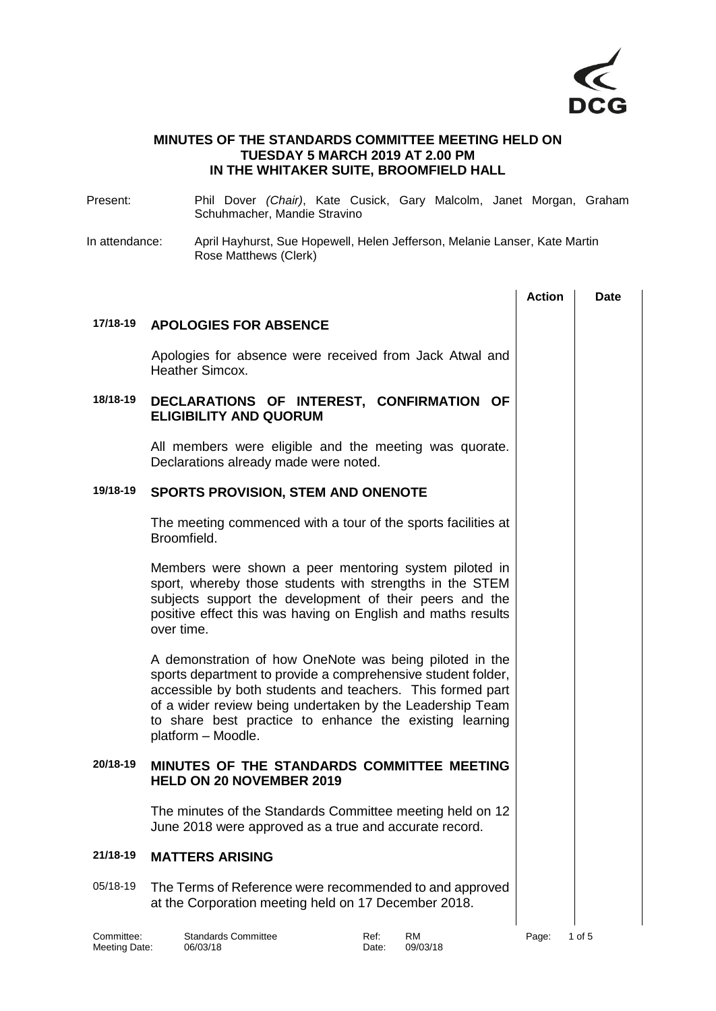

## **MINUTES OF THE STANDARDS COMMITTEE MEETING HELD ON TUESDAY 5 MARCH 2019 AT 2.00 PM IN THE WHITAKER SUITE, BROOMFIELD HALL**

- Present: Phil Dover *(Chair)*, Kate Cusick, Gary Malcolm, Janet Morgan, Graham Schuhmacher, Mandie Stravino
- In attendance: April Hayhurst, Sue Hopewell, Helen Jefferson, Melanie Lanser, Kate Martin Rose Matthews (Clerk)

|          |                                                                                                                                                                                                                                                                                                                                     | <b>Action</b> | <b>Date</b> |
|----------|-------------------------------------------------------------------------------------------------------------------------------------------------------------------------------------------------------------------------------------------------------------------------------------------------------------------------------------|---------------|-------------|
| 17/18-19 | <b>APOLOGIES FOR ABSENCE</b>                                                                                                                                                                                                                                                                                                        |               |             |
|          | Apologies for absence were received from Jack Atwal and<br>Heather Simcox.                                                                                                                                                                                                                                                          |               |             |
| 18/18-19 | DECLARATIONS OF INTEREST, CONFIRMATION OF<br><b>ELIGIBILITY AND QUORUM</b>                                                                                                                                                                                                                                                          |               |             |
|          | All members were eligible and the meeting was quorate.<br>Declarations already made were noted.                                                                                                                                                                                                                                     |               |             |
| 19/18-19 | <b>SPORTS PROVISION, STEM AND ONENOTE</b>                                                                                                                                                                                                                                                                                           |               |             |
|          | The meeting commenced with a tour of the sports facilities at<br>Broomfield.                                                                                                                                                                                                                                                        |               |             |
|          | Members were shown a peer mentoring system piloted in<br>sport, whereby those students with strengths in the STEM<br>subjects support the development of their peers and the<br>positive effect this was having on English and maths results<br>over time.                                                                          |               |             |
|          | A demonstration of how OneNote was being piloted in the<br>sports department to provide a comprehensive student folder,<br>accessible by both students and teachers. This formed part<br>of a wider review being undertaken by the Leadership Team<br>to share best practice to enhance the existing learning<br>platform - Moodle. |               |             |
| 20/18-19 | MINUTES OF THE STANDARDS COMMITTEE MEETING<br><b>HELD ON 20 NOVEMBER 2019</b>                                                                                                                                                                                                                                                       |               |             |
|          | The minutes of the Standards Committee meeting held on 12<br>June 2018 were approved as a true and accurate record                                                                                                                                                                                                                  |               |             |
| 21/18-19 | <b>MATTERS ARISING</b>                                                                                                                                                                                                                                                                                                              |               |             |
| 05/18-19 | The Terms of Reference were recommended to and approved<br>at the Corporation meeting held on 17 December 2018.                                                                                                                                                                                                                     |               |             |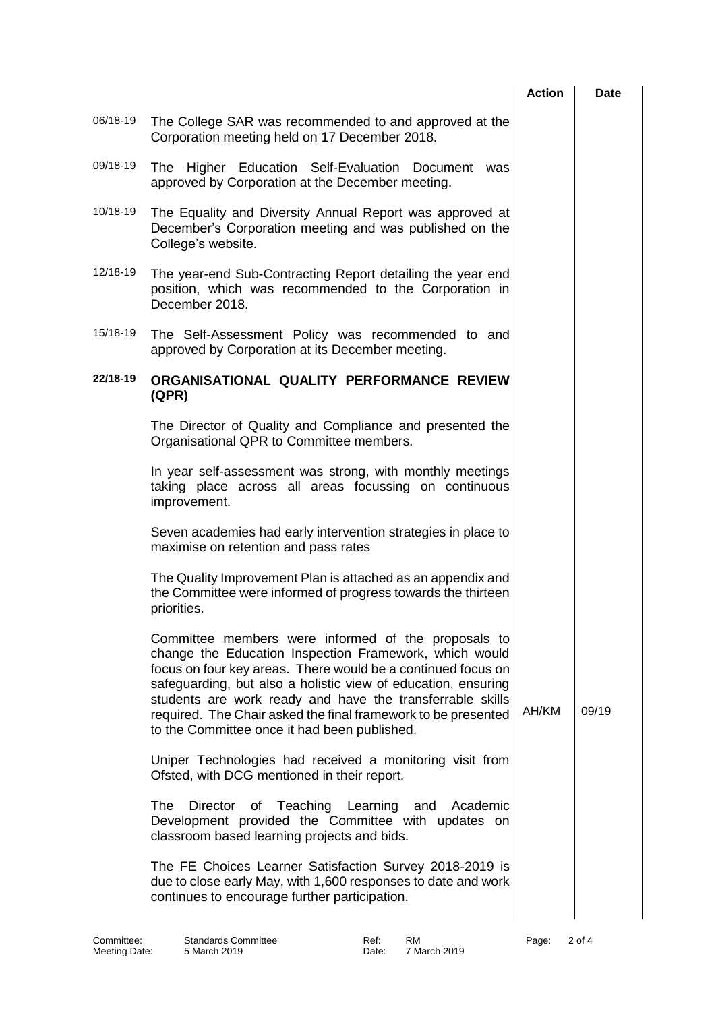|          |                                                                                                                                                                                                                                                                                                                                                                                                                              | <b>Action</b> | Date  |
|----------|------------------------------------------------------------------------------------------------------------------------------------------------------------------------------------------------------------------------------------------------------------------------------------------------------------------------------------------------------------------------------------------------------------------------------|---------------|-------|
| 06/18-19 | The College SAR was recommended to and approved at the<br>Corporation meeting held on 17 December 2018.                                                                                                                                                                                                                                                                                                                      |               |       |
| 09/18-19 | The Higher Education Self-Evaluation Document was<br>approved by Corporation at the December meeting.                                                                                                                                                                                                                                                                                                                        |               |       |
| 10/18-19 | The Equality and Diversity Annual Report was approved at<br>December's Corporation meeting and was published on the<br>College's website.                                                                                                                                                                                                                                                                                    |               |       |
| 12/18-19 | The year-end Sub-Contracting Report detailing the year end<br>position, which was recommended to the Corporation in<br>December 2018.                                                                                                                                                                                                                                                                                        |               |       |
| 15/18-19 | The Self-Assessment Policy was recommended to and<br>approved by Corporation at its December meeting.                                                                                                                                                                                                                                                                                                                        |               |       |
| 22/18-19 | ORGANISATIONAL QUALITY PERFORMANCE REVIEW<br>(QPR)                                                                                                                                                                                                                                                                                                                                                                           |               |       |
|          | The Director of Quality and Compliance and presented the<br>Organisational QPR to Committee members.                                                                                                                                                                                                                                                                                                                         |               |       |
|          | In year self-assessment was strong, with monthly meetings<br>taking place across all areas focussing on continuous<br>improvement.                                                                                                                                                                                                                                                                                           |               |       |
|          | Seven academies had early intervention strategies in place to<br>maximise on retention and pass rates                                                                                                                                                                                                                                                                                                                        |               |       |
|          | The Quality Improvement Plan is attached as an appendix and<br>the Committee were informed of progress towards the thirteen<br>priorities.                                                                                                                                                                                                                                                                                   |               |       |
|          | Committee members were informed of the proposals to<br>change the Education Inspection Framework, which would<br>focus on four key areas. There would be a continued focus on<br>safeguarding, but also a holistic view of education, ensuring<br>students are work ready and have the transferrable skills<br>required. The Chair asked the final framework to be presented<br>to the Committee once it had been published. | AH/KM         | 09/19 |
|          | Uniper Technologies had received a monitoring visit from<br>Ofsted, with DCG mentioned in their report.                                                                                                                                                                                                                                                                                                                      |               |       |
|          | The<br>Director of Teaching Learning<br>Academic<br>and<br>Development provided the Committee with updates on<br>classroom based learning projects and bids.                                                                                                                                                                                                                                                                 |               |       |
|          | The FE Choices Learner Satisfaction Survey 2018-2019 is<br>due to close early May, with 1,600 responses to date and work<br>continues to encourage further participation.                                                                                                                                                                                                                                                    |               |       |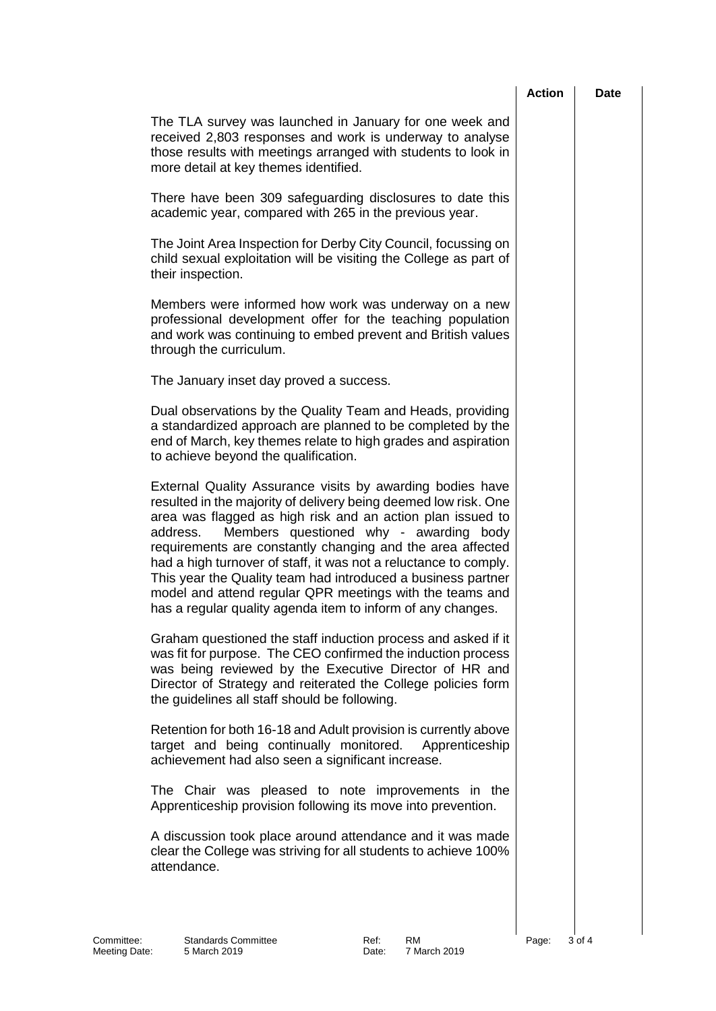|                                                                                                                                                                                                                                                                                                                                                                                                                                                                                                                                                                               | <b>Action</b> | <b>Date</b> |
|-------------------------------------------------------------------------------------------------------------------------------------------------------------------------------------------------------------------------------------------------------------------------------------------------------------------------------------------------------------------------------------------------------------------------------------------------------------------------------------------------------------------------------------------------------------------------------|---------------|-------------|
| The TLA survey was launched in January for one week and<br>received 2,803 responses and work is underway to analyse<br>those results with meetings arranged with students to look in<br>more detail at key themes identified.                                                                                                                                                                                                                                                                                                                                                 |               |             |
| There have been 309 safeguarding disclosures to date this<br>academic year, compared with 265 in the previous year.                                                                                                                                                                                                                                                                                                                                                                                                                                                           |               |             |
| The Joint Area Inspection for Derby City Council, focussing on<br>child sexual exploitation will be visiting the College as part of<br>their inspection.                                                                                                                                                                                                                                                                                                                                                                                                                      |               |             |
| Members were informed how work was underway on a new<br>professional development offer for the teaching population<br>and work was continuing to embed prevent and British values<br>through the curriculum.                                                                                                                                                                                                                                                                                                                                                                  |               |             |
| The January inset day proved a success.                                                                                                                                                                                                                                                                                                                                                                                                                                                                                                                                       |               |             |
| Dual observations by the Quality Team and Heads, providing<br>a standardized approach are planned to be completed by the<br>end of March, key themes relate to high grades and aspiration<br>to achieve beyond the qualification.                                                                                                                                                                                                                                                                                                                                             |               |             |
| External Quality Assurance visits by awarding bodies have<br>resulted in the majority of delivery being deemed low risk. One<br>area was flagged as high risk and an action plan issued to<br>Members questioned why - awarding body<br>address.<br>requirements are constantly changing and the area affected<br>had a high turnover of staff, it was not a reluctance to comply.<br>This year the Quality team had introduced a business partner<br>model and attend regular QPR meetings with the teams and<br>has a regular quality agenda item to inform of any changes. |               |             |
| Graham questioned the staff induction process and asked if it<br>was fit for purpose. The CEO confirmed the induction process<br>was being reviewed by the Executive Director of HR and<br>Director of Strategy and reiterated the College policies form<br>the guidelines all staff should be following.                                                                                                                                                                                                                                                                     |               |             |
| Retention for both 16-18 and Adult provision is currently above<br>target and being continually monitored.<br>Apprenticeship<br>achievement had also seen a significant increase.                                                                                                                                                                                                                                                                                                                                                                                             |               |             |
| The Chair was pleased to note improvements in the<br>Apprenticeship provision following its move into prevention.                                                                                                                                                                                                                                                                                                                                                                                                                                                             |               |             |
| A discussion took place around attendance and it was made<br>clear the College was striving for all students to achieve 100%<br>attendance.                                                                                                                                                                                                                                                                                                                                                                                                                                   |               |             |
|                                                                                                                                                                                                                                                                                                                                                                                                                                                                                                                                                                               |               |             |
|                                                                                                                                                                                                                                                                                                                                                                                                                                                                                                                                                                               |               |             |